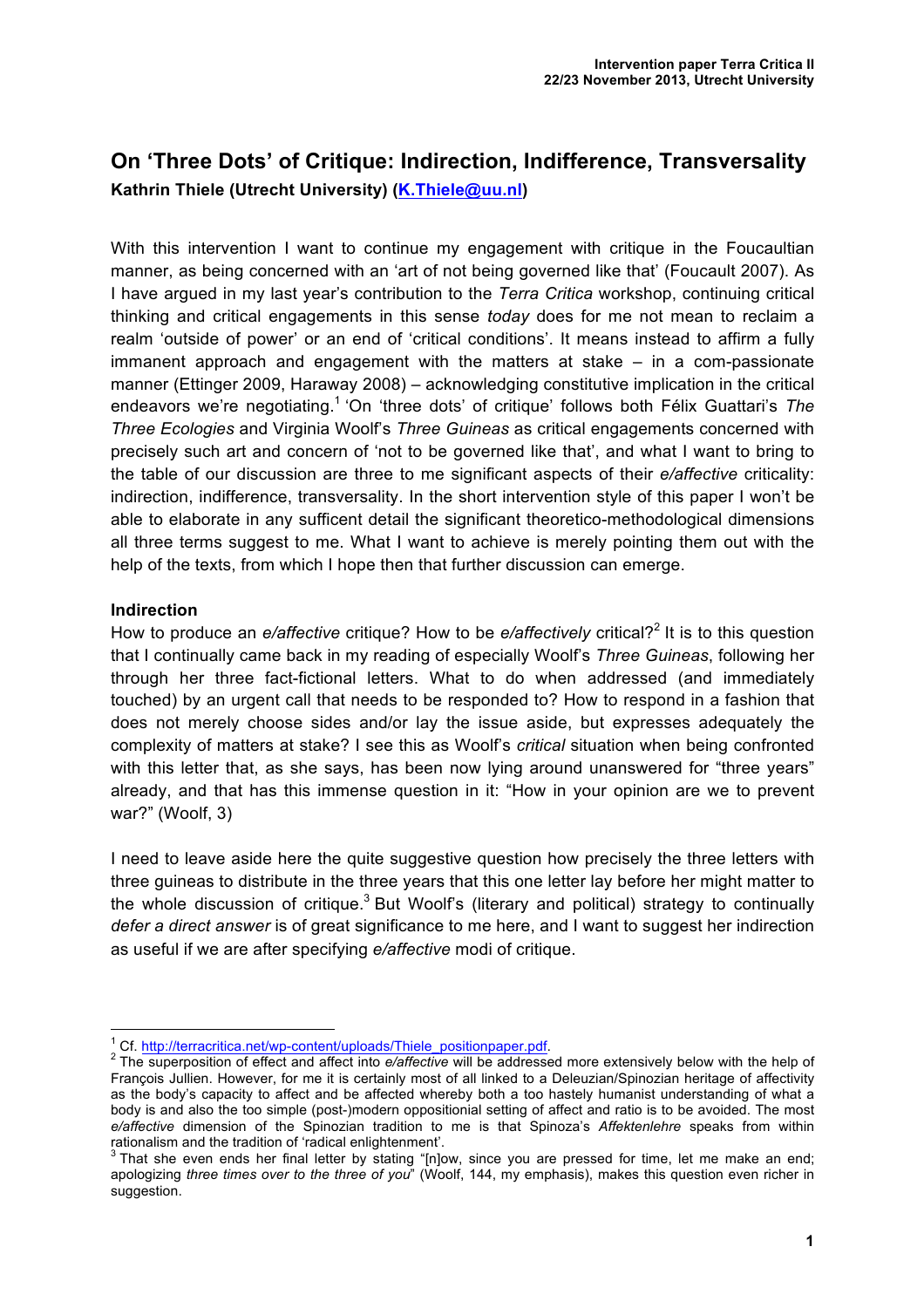# **On 'Three Dots' of Critique: Indirection, Indifference, Transversality Kathrin Thiele (Utrecht University) (K.Thiele@uu.nl)**

With this intervention I want to continue my engagement with critique in the Foucaultian manner, as being concerned with an 'art of not being governed like that' (Foucault 2007). As I have argued in my last year's contribution to the *Terra Critica* workshop, continuing critical thinking and critical engagements in this sense *today* does for me not mean to reclaim a realm 'outside of power' or an end of 'critical conditions'. It means instead to affirm a fully immanent approach and engagement with the matters at stake – in a com-passionate manner (Ettinger 2009, Haraway 2008) – acknowledging constitutive implication in the critical endeavors we're negotiating. <sup>1</sup> 'On 'three dots' of critique' follows both Félix Guattari's *The Three Ecologies* and Virginia Woolf's *Three Guineas* as critical engagements concerned with precisely such art and concern of 'not to be governed like that', and what I want to bring to the table of our discussion are three to me significant aspects of their *e/affective* criticality: indirection, indifference, transversality. In the short intervention style of this paper I won't be able to elaborate in any sufficent detail the significant theoretico-methodological dimensions all three terms suggest to me. What I want to achieve is merely pointing them out with the help of the texts, from which I hope then that further discussion can emerge.

#### **Indirection**

How to produce an *e/affective* critique? How to be *e/affectively* critical?<sup>2</sup> It is to this question that I continually came back in my reading of especially Woolf's *Three Guineas*, following her through her three fact-fictional letters. What to do when addressed (and immediately touched) by an urgent call that needs to be responded to? How to respond in a fashion that does not merely choose sides and/or lay the issue aside, but expresses adequately the complexity of matters at stake? I see this as Woolf's *critical* situation when being confronted with this letter that, as she says, has been now lying around unanswered for "three years" already, and that has this immense question in it: "How in your opinion are we to prevent war?" (Woolf, 3)

I need to leave aside here the quite suggestive question how precisely the three letters with three guineas to distribute in the three years that this one letter lay before her might matter to the whole discussion of critique.<sup>3</sup> But Woolf's (literary and political) strategy to continually *defer a direct answer* is of great significance to me here, and I want to suggest her indirection as useful if we are after specifying *e/affective* modi of critique.

<sup>&</sup>lt;sup>1</sup> Cf. http://terracritica.net/wp-content/uploads/Thiele\_positionpaper.pdf.<br><sup>2</sup> The superposition of effect and affect into *e/affective* will be addressed more extensively below with the help of François Jullien. However, for me it is certainly most of all linked to a Deleuzian/Spinozian heritage of affectivity as the body's capacity to affect and be affected whereby both a too hastely humanist understanding of what a body is and also the too simple (post-)modern oppositionial setting of affect and ratio is to be avoided. The most *e/affective* dimension of the Spinozian tradition to me is that Spinoza's *Affektenlehre* speaks from within

rationalism and the tradition of 'radical enlightenment'.<br><sup>3</sup> That she even ends her final letter by stating "[n]ow, since you are pressed for time, let me make an end; apologizing *three times over to the three of you*" (Woolf, 144, my emphasis), makes this question even richer in suggestion.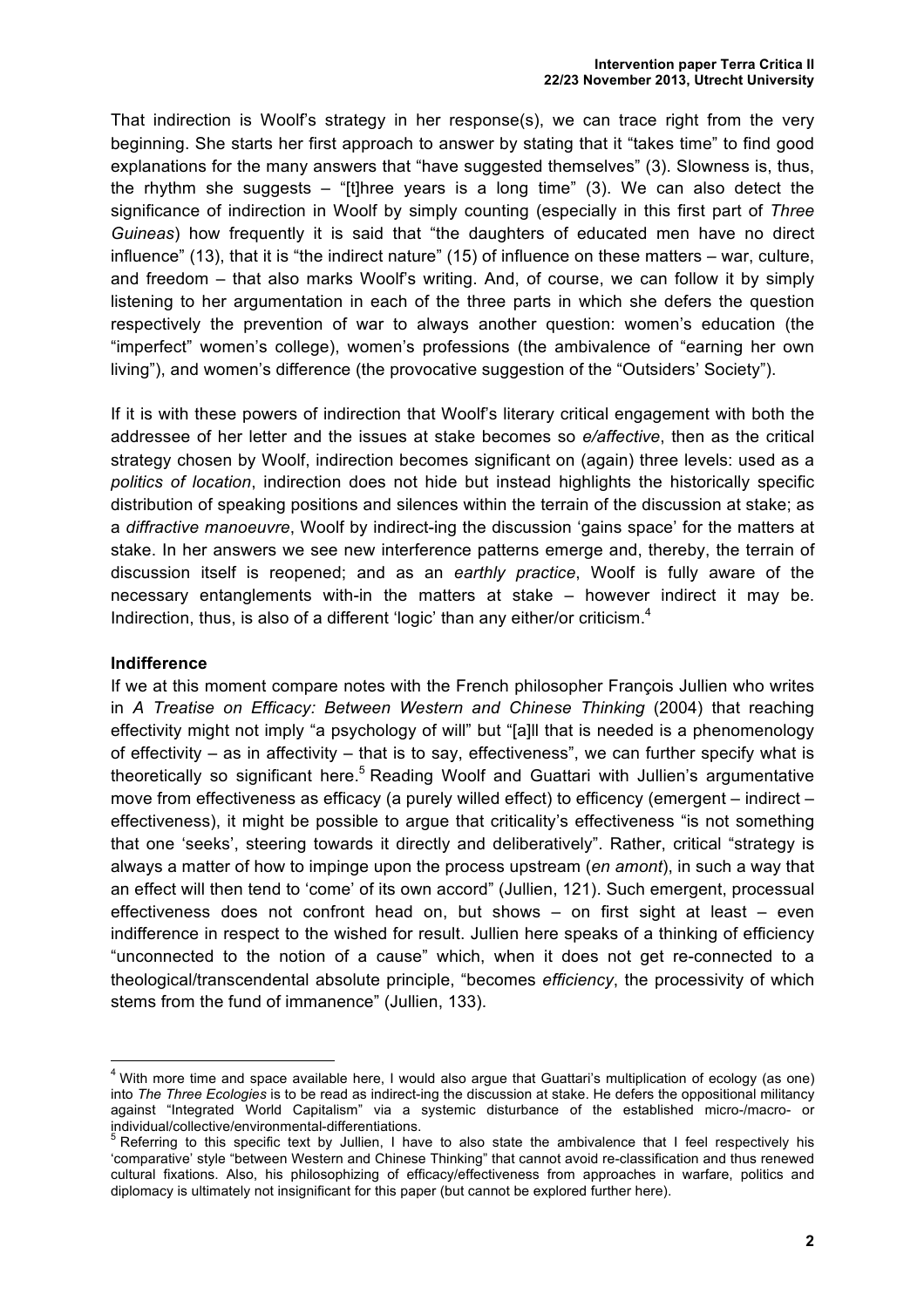That indirection is Woolf's strategy in her response(s), we can trace right from the very beginning. She starts her first approach to answer by stating that it "takes time" to find good explanations for the many answers that "have suggested themselves" (3). Slowness is, thus, the rhythm she suggests – "[t]hree years is a long time"  $(3)$ . We can also detect the significance of indirection in Woolf by simply counting (especially in this first part of *Three Guineas*) how frequently it is said that "the daughters of educated men have no direct influence" (13), that it is "the indirect nature" (15) of influence on these matters – war, culture, and freedom – that also marks Woolf's writing. And, of course, we can follow it by simply listening to her argumentation in each of the three parts in which she defers the question respectively the prevention of war to always another question: women's education (the "imperfect" women's college), women's professions (the ambivalence of "earning her own living"), and women's difference (the provocative suggestion of the "Outsiders' Society").

If it is with these powers of indirection that Woolf's literary critical engagement with both the addressee of her letter and the issues at stake becomes so *e/affective*, then as the critical strategy chosen by Woolf, indirection becomes significant on (again) three levels: used as a *politics of location*, indirection does not hide but instead highlights the historically specific distribution of speaking positions and silences within the terrain of the discussion at stake; as a *diffractive manoeuvre*, Woolf by indirect-ing the discussion 'gains space' for the matters at stake. In her answers we see new interference patterns emerge and, thereby, the terrain of discussion itself is reopened; and as an *earthly practice*, Woolf is fully aware of the necessary entanglements with-in the matters at stake – however indirect it may be. Indirection, thus, is also of a different 'logic' than any either/or criticism.<sup>4</sup>

#### **Indifference**

If we at this moment compare notes with the French philosopher François Jullien who writes in *A Treatise on Efficacy: Between Western and Chinese Thinking (2004) that reaching* effectivity might not imply "a psychology of will" but "[a]ll that is needed is a phenomenology of effectivity – as in affectivity – that is to say, effectiveness", we can further specify what is theoretically so significant here.<sup>5</sup> Reading Woolf and Guattari with Jullien's argumentative move from effectiveness as efficacy (a purely willed effect) to efficency (emergent – indirect – effectiveness), it might be possible to argue that criticality's effectiveness "is not something that one 'seeks', steering towards it directly and deliberatively". Rather, critical "strategy is always a matter of how to impinge upon the process upstream (*en amont*), in such a way that an effect will then tend to 'come' of its own accord" (Jullien, 121). Such emergent, processual effectiveness does not confront head on, but shows – on first sight at least – even indifference in respect to the wished for result. Jullien here speaks of a thinking of efficiency "unconnected to the notion of a cause" which, when it does not get re-connected to a theological/transcendental absolute principle, "becomes *efficiency*, the processivity of which stems from the fund of immanence" (Jullien, 133).

 $4$  With more time and space available here, I would also argue that Guattari's multiplication of ecology (as one) into *The Three Ecologies* is to be read as indirect-ing the discussion at stake. He defers the oppositional militancy against "Integrated World Capitalism" via a systemic disturbance of the established micro-/macro- or

individual/collective/environmental-differentiations.<br>
<sup>5</sup> Referring to this specific text by Jullien, I have to also state the ambivalence that I feel respectively his 'comparative' style "between Western and Chinese Thinking" that cannot avoid re-classification and thus renewed cultural fixations. Also, his philosophizing of efficacy/effectiveness from approaches in warfare, politics and diplomacy is ultimately not insignificant for this paper (but cannot be explored further here).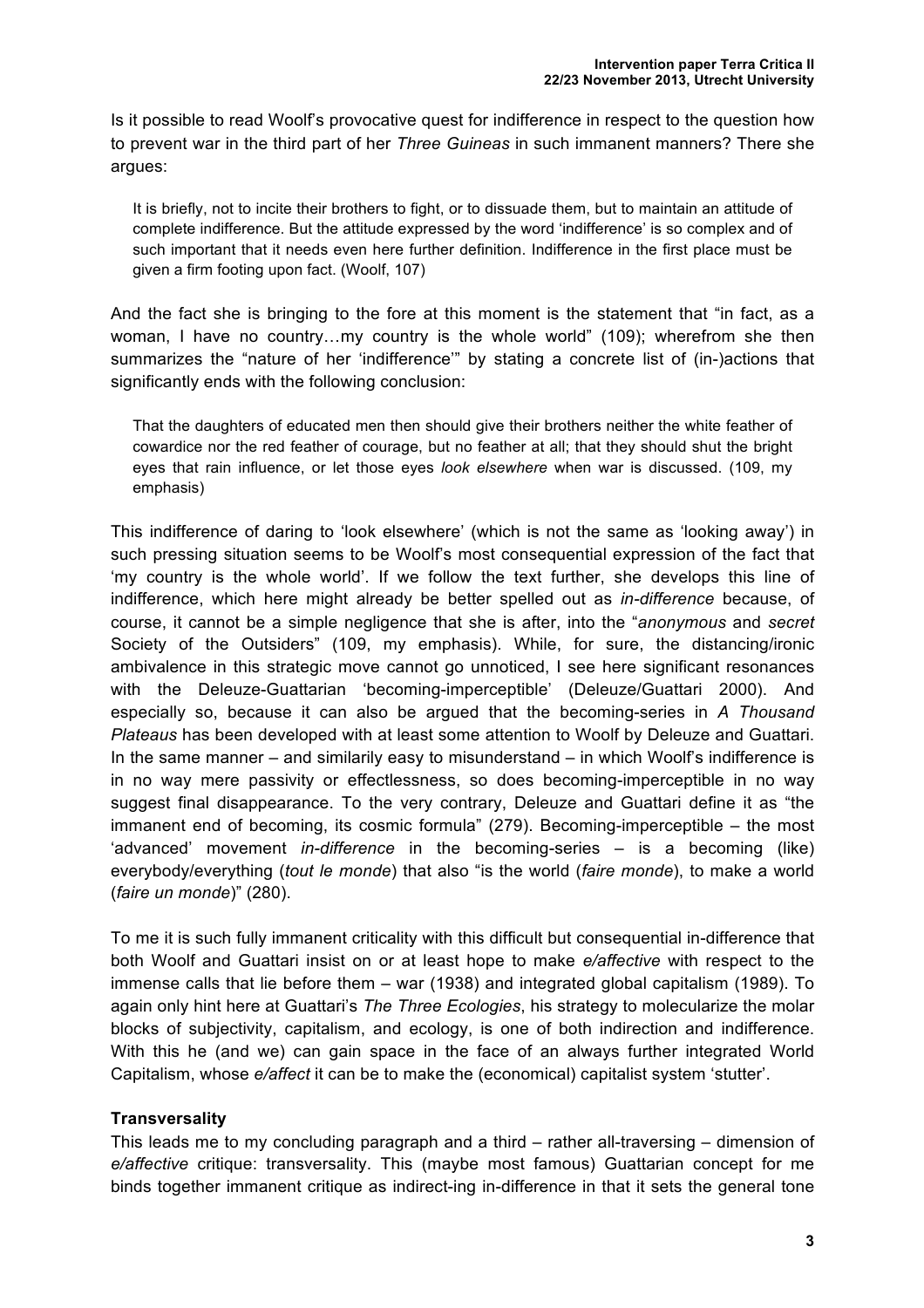Is it possible to read Woolf's provocative quest for indifference in respect to the question how to prevent war in the third part of her *Three Guineas* in such immanent manners? There she argues:

It is briefly, not to incite their brothers to fight, or to dissuade them, but to maintain an attitude of complete indifference. But the attitude expressed by the word 'indifference' is so complex and of such important that it needs even here further definition. Indifference in the first place must be given a firm footing upon fact. (Woolf, 107)

And the fact she is bringing to the fore at this moment is the statement that "in fact, as a woman, I have no country…my country is the whole world" (109); wherefrom she then summarizes the "nature of her 'indifference'" by stating a concrete list of (in-)actions that significantly ends with the following conclusion:

That the daughters of educated men then should give their brothers neither the white feather of cowardice nor the red feather of courage, but no feather at all; that they should shut the bright eyes that rain influence, or let those eyes *look elsewhere* when war is discussed. (109, my emphasis)

This indifference of daring to 'look elsewhere' (which is not the same as 'looking away') in such pressing situation seems to be Woolf's most consequential expression of the fact that 'my country is the whole world'. If we follow the text further, she develops this line of indifference, which here might already be better spelled out as *in-difference* because, of course, it cannot be a simple negligence that she is after, into the "*anonymous* and *secret* Society of the Outsiders" (109, my emphasis). While, for sure, the distancing/ironic ambivalence in this strategic move cannot go unnoticed, I see here significant resonances with the Deleuze-Guattarian 'becoming-imperceptible' (Deleuze/Guattari 2000). And especially so, because it can also be argued that the becoming-series in *A Thousand Plateaus* has been developed with at least some attention to Woolf by Deleuze and Guattari. In the same manner – and similarily easy to misunderstand – in which Woolf's indifference is in no way mere passivity or effectlessness, so does becoming-imperceptible in no way suggest final disappearance. To the very contrary, Deleuze and Guattari define it as "the immanent end of becoming, its cosmic formula" (279). Becoming-imperceptible – the most 'advanced' movement *in-difference* in the becoming-series – is a becoming (like) everybody/everything (*tout le monde*) that also "is the world (*faire monde*), to make a world (*faire un monde*)" (280).

To me it is such fully immanent criticality with this difficult but consequential in-difference that both Woolf and Guattari insist on or at least hope to make *e/affective* with respect to the immense calls that lie before them – war (1938) and integrated global capitalism (1989). To again only hint here at Guattari's *The Three Ecologies*, his strategy to molecularize the molar blocks of subjectivity, capitalism, and ecology, is one of both indirection and indifference. With this he (and we) can gain space in the face of an always further integrated World Capitalism, whose *e/affect* it can be to make the (economical) capitalist system 'stutter'.

### **Transversality**

This leads me to my concluding paragraph and a third – rather all-traversing – dimension of *e/affective* critique: transversality. This (maybe most famous) Guattarian concept for me binds together immanent critique as indirect-ing in-difference in that it sets the general tone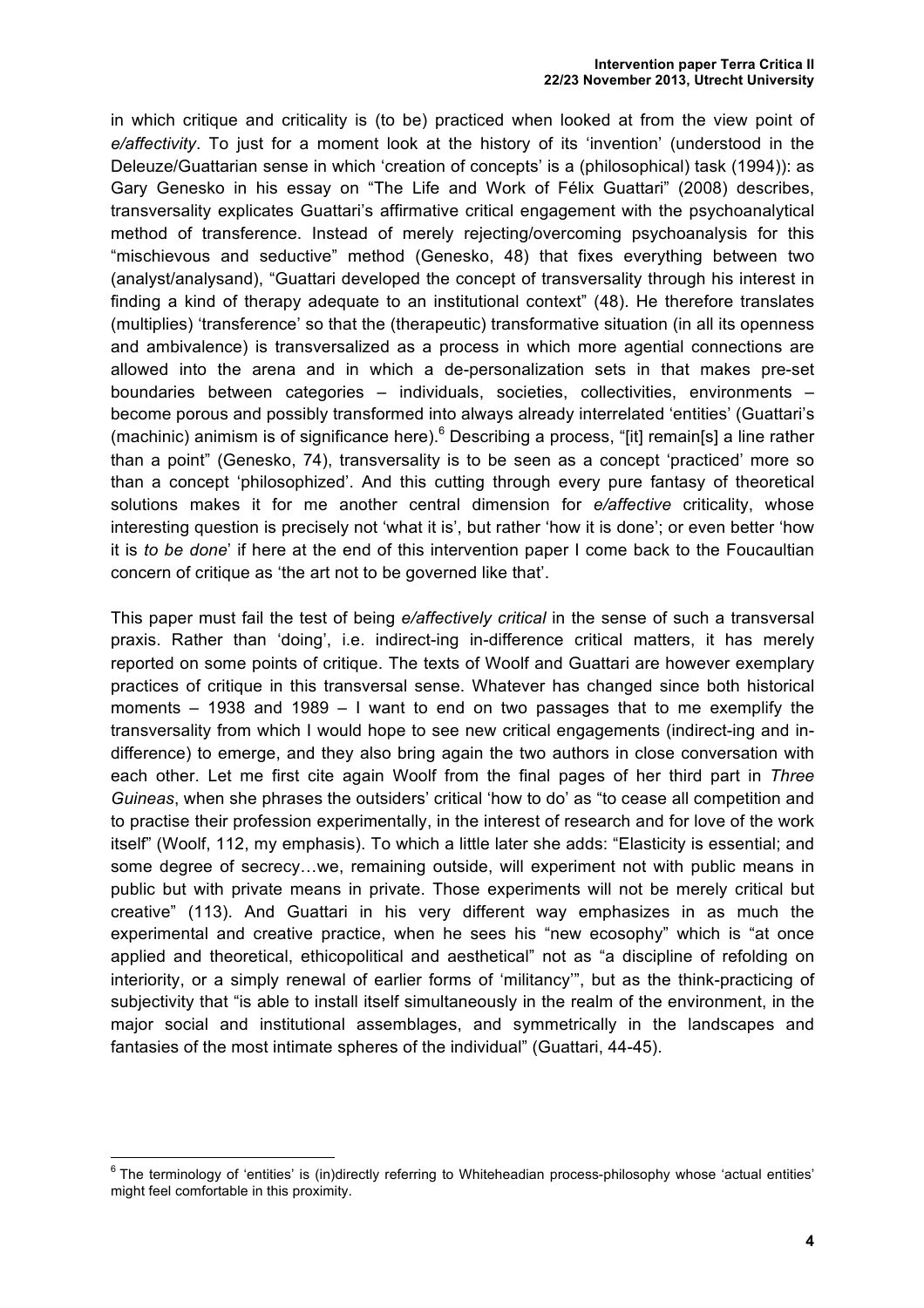in which critique and criticality is (to be) practiced when looked at from the view point of *e/affectivity*. To just for a moment look at the history of its 'invention' (understood in the Deleuze/Guattarian sense in which 'creation of concepts' is a (philosophical) task (1994)): as Gary Genesko in his essay on "The Life and Work of Félix Guattari" (2008) describes, transversality explicates Guattari's affirmative critical engagement with the psychoanalytical method of transference. Instead of merely rejecting/overcoming psychoanalysis for this "mischievous and seductive" method (Genesko, 48) that fixes everything between two (analyst/analysand), "Guattari developed the concept of transversality through his interest in finding a kind of therapy adequate to an institutional context" (48). He therefore translates (multiplies) 'transference' so that the (therapeutic) transformative situation (in all its openness and ambivalence) is transversalized as a process in which more agential connections are allowed into the arena and in which a de-personalization sets in that makes pre-set boundaries between categories – individuals, societies, collectivities, environments – become porous and possibly transformed into always already interrelated 'entities' (Guattari's (machinic) animism is of significance here).<sup>6</sup> Describing a process, "[it] remain[s] a line rather than a point" (Genesko, 74), transversality is to be seen as a concept 'practiced' more so than a concept 'philosophized'. And this cutting through every pure fantasy of theoretical solutions makes it for me another central dimension for *e/affective* criticality, whose interesting question is precisely not 'what it is', but rather 'how it is done'; or even better 'how it is *to be done*' if here at the end of this intervention paper I come back to the Foucaultian concern of critique as 'the art not to be governed like that'.

This paper must fail the test of being *e/affectively critical* in the sense of such a transversal praxis. Rather than 'doing', i.e. indirect-ing in-difference critical matters, it has merely reported on some points of critique. The texts of Woolf and Guattari are however exemplary practices of critique in this transversal sense. Whatever has changed since both historical moments – 1938 and 1989 – I want to end on two passages that to me exemplify the transversality from which I would hope to see new critical engagements (indirect-ing and indifference) to emerge, and they also bring again the two authors in close conversation with each other. Let me first cite again Woolf from the final pages of her third part in *Three Guineas*, when she phrases the outsiders' critical 'how to do' as "to cease all competition and to practise their profession experimentally, in the interest of research and for love of the work itself" (Woolf, 112, my emphasis). To which a little later she adds: "Elasticity is essential; and some degree of secrecy…we, remaining outside, will experiment not with public means in public but with private means in private. Those experiments will not be merely critical but creative" (113). And Guattari in his very different way emphasizes in as much the experimental and creative practice, when he sees his "new ecosophy" which is "at once applied and theoretical, ethicopolitical and aesthetical" not as "a discipline of refolding on interiority, or a simply renewal of earlier forms of 'militancy'", but as the think-practicing of subjectivity that "is able to install itself simultaneously in the realm of the environment, in the major social and institutional assemblages, and symmetrically in the landscapes and fantasies of the most intimate spheres of the individual" (Guattari, 44-45).

 $6$  The terminology of 'entities' is (in)directly referring to Whiteheadian process-philosophy whose 'actual entities' might feel comfortable in this proximity.